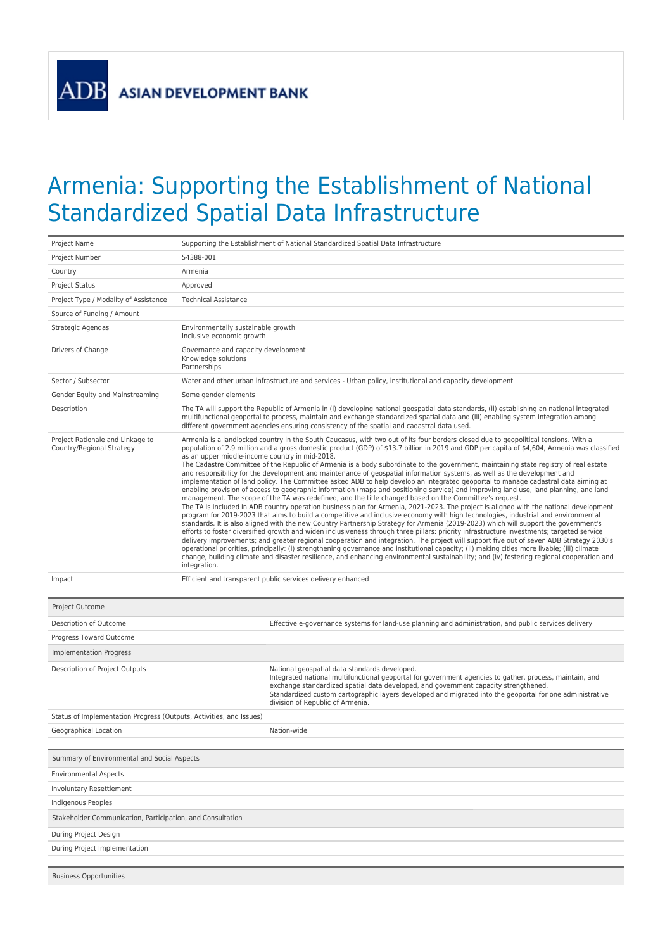**ADB** 

## Armenia: Supporting the Establishment of National Standardized Spatial Data Infrastructure

| Project Name                                                        | Supporting the Establishment of National Standardized Spatial Data Infrastructure                                                                                                                                                                                                                                                                                                                                                                                                                                                                                                                                                                                                                                                                                                                                                                                                                                                                                                                                                                                                                                                                                                                                                                                                                                                                                                                                                                                                                                                                                                                                                                                                                                                                                                                                                                                                                                                                                                                            |  |
|---------------------------------------------------------------------|--------------------------------------------------------------------------------------------------------------------------------------------------------------------------------------------------------------------------------------------------------------------------------------------------------------------------------------------------------------------------------------------------------------------------------------------------------------------------------------------------------------------------------------------------------------------------------------------------------------------------------------------------------------------------------------------------------------------------------------------------------------------------------------------------------------------------------------------------------------------------------------------------------------------------------------------------------------------------------------------------------------------------------------------------------------------------------------------------------------------------------------------------------------------------------------------------------------------------------------------------------------------------------------------------------------------------------------------------------------------------------------------------------------------------------------------------------------------------------------------------------------------------------------------------------------------------------------------------------------------------------------------------------------------------------------------------------------------------------------------------------------------------------------------------------------------------------------------------------------------------------------------------------------------------------------------------------------------------------------------------------------|--|
| Project Number                                                      | 54388-001                                                                                                                                                                                                                                                                                                                                                                                                                                                                                                                                                                                                                                                                                                                                                                                                                                                                                                                                                                                                                                                                                                                                                                                                                                                                                                                                                                                                                                                                                                                                                                                                                                                                                                                                                                                                                                                                                                                                                                                                    |  |
| Country                                                             | Armenia                                                                                                                                                                                                                                                                                                                                                                                                                                                                                                                                                                                                                                                                                                                                                                                                                                                                                                                                                                                                                                                                                                                                                                                                                                                                                                                                                                                                                                                                                                                                                                                                                                                                                                                                                                                                                                                                                                                                                                                                      |  |
| <b>Project Status</b>                                               | Approved                                                                                                                                                                                                                                                                                                                                                                                                                                                                                                                                                                                                                                                                                                                                                                                                                                                                                                                                                                                                                                                                                                                                                                                                                                                                                                                                                                                                                                                                                                                                                                                                                                                                                                                                                                                                                                                                                                                                                                                                     |  |
| Project Type / Modality of Assistance                               | <b>Technical Assistance</b>                                                                                                                                                                                                                                                                                                                                                                                                                                                                                                                                                                                                                                                                                                                                                                                                                                                                                                                                                                                                                                                                                                                                                                                                                                                                                                                                                                                                                                                                                                                                                                                                                                                                                                                                                                                                                                                                                                                                                                                  |  |
| Source of Funding / Amount                                          |                                                                                                                                                                                                                                                                                                                                                                                                                                                                                                                                                                                                                                                                                                                                                                                                                                                                                                                                                                                                                                                                                                                                                                                                                                                                                                                                                                                                                                                                                                                                                                                                                                                                                                                                                                                                                                                                                                                                                                                                              |  |
| Strategic Agendas                                                   | Environmentally sustainable growth<br>Inclusive economic growth                                                                                                                                                                                                                                                                                                                                                                                                                                                                                                                                                                                                                                                                                                                                                                                                                                                                                                                                                                                                                                                                                                                                                                                                                                                                                                                                                                                                                                                                                                                                                                                                                                                                                                                                                                                                                                                                                                                                              |  |
| Drivers of Change                                                   | Governance and capacity development<br>Knowledge solutions<br>Partnerships                                                                                                                                                                                                                                                                                                                                                                                                                                                                                                                                                                                                                                                                                                                                                                                                                                                                                                                                                                                                                                                                                                                                                                                                                                                                                                                                                                                                                                                                                                                                                                                                                                                                                                                                                                                                                                                                                                                                   |  |
| Sector / Subsector                                                  | Water and other urban infrastructure and services - Urban policy, institutional and capacity development                                                                                                                                                                                                                                                                                                                                                                                                                                                                                                                                                                                                                                                                                                                                                                                                                                                                                                                                                                                                                                                                                                                                                                                                                                                                                                                                                                                                                                                                                                                                                                                                                                                                                                                                                                                                                                                                                                     |  |
| Gender Equity and Mainstreaming                                     | Some gender elements                                                                                                                                                                                                                                                                                                                                                                                                                                                                                                                                                                                                                                                                                                                                                                                                                                                                                                                                                                                                                                                                                                                                                                                                                                                                                                                                                                                                                                                                                                                                                                                                                                                                                                                                                                                                                                                                                                                                                                                         |  |
| Description                                                         | The TA will support the Republic of Armenia in (i) developing national geospatial data standards, (ii) establishing an national integrated<br>multifunctional geoportal to process, maintain and exchange standardized spatial data and (iii) enabling system integration among<br>different government agencies ensuring consistency of the spatial and cadastral data used.                                                                                                                                                                                                                                                                                                                                                                                                                                                                                                                                                                                                                                                                                                                                                                                                                                                                                                                                                                                                                                                                                                                                                                                                                                                                                                                                                                                                                                                                                                                                                                                                                                |  |
| Project Rationale and Linkage to<br>Country/Regional Strategy       | Armenia is a landlocked country in the South Caucasus, with two out of its four borders closed due to geopolitical tensions. With a<br>population of 2.9 million and a gross domestic product (GDP) of \$13.7 billion in 2019 and GDP per capita of \$4,604, Armenia was classified<br>as an upper middle-income country in mid-2018.<br>The Cadastre Committee of the Republic of Armenia is a body subordinate to the government, maintaining state registry of real estate<br>and responsibility for the development and maintenance of geospatial information systems, as well as the development and<br>implementation of land policy. The Committee asked ADB to help develop an integrated geoportal to manage cadastral data aiming at<br>enabling provision of access to geographic information (maps and positioning service) and improving land use, land planning, and land<br>management. The scope of the TA was redefined, and the title changed based on the Committee's request.<br>The TA is included in ADB country operation business plan for Armenia, 2021-2023. The project is aligned with the national development<br>program for 2019-2023 that aims to build a competitive and inclusive economy with high technologies, industrial and environmental<br>standards. It is also aligned with the new Country Partnership Strategy for Armenia (2019-2023) which will support the government's<br>efforts to foster diversified growth and widen inclusiveness through three pillars: priority infrastructure investments; targeted service<br>delivery improvements; and greater regional cooperation and integration. The project will support five out of seven ADB Strategy 2030's<br>operational priorities, principally: (i) strengthening governance and institutional capacity; (ii) making cities more livable; (iii) climate<br>change, building climate and disaster resilience, and enhancing environmental sustainability; and (iv) fostering regional cooperation and |  |
|                                                                     | integration.                                                                                                                                                                                                                                                                                                                                                                                                                                                                                                                                                                                                                                                                                                                                                                                                                                                                                                                                                                                                                                                                                                                                                                                                                                                                                                                                                                                                                                                                                                                                                                                                                                                                                                                                                                                                                                                                                                                                                                                                 |  |
| Impact                                                              | Efficient and transparent public services delivery enhanced                                                                                                                                                                                                                                                                                                                                                                                                                                                                                                                                                                                                                                                                                                                                                                                                                                                                                                                                                                                                                                                                                                                                                                                                                                                                                                                                                                                                                                                                                                                                                                                                                                                                                                                                                                                                                                                                                                                                                  |  |
|                                                                     |                                                                                                                                                                                                                                                                                                                                                                                                                                                                                                                                                                                                                                                                                                                                                                                                                                                                                                                                                                                                                                                                                                                                                                                                                                                                                                                                                                                                                                                                                                                                                                                                                                                                                                                                                                                                                                                                                                                                                                                                              |  |
| Project Outcome                                                     |                                                                                                                                                                                                                                                                                                                                                                                                                                                                                                                                                                                                                                                                                                                                                                                                                                                                                                                                                                                                                                                                                                                                                                                                                                                                                                                                                                                                                                                                                                                                                                                                                                                                                                                                                                                                                                                                                                                                                                                                              |  |
| Description of Outcome                                              | Effective e-governance systems for land-use planning and administration, and public services delivery                                                                                                                                                                                                                                                                                                                                                                                                                                                                                                                                                                                                                                                                                                                                                                                                                                                                                                                                                                                                                                                                                                                                                                                                                                                                                                                                                                                                                                                                                                                                                                                                                                                                                                                                                                                                                                                                                                        |  |
| Progress Toward Outcome                                             |                                                                                                                                                                                                                                                                                                                                                                                                                                                                                                                                                                                                                                                                                                                                                                                                                                                                                                                                                                                                                                                                                                                                                                                                                                                                                                                                                                                                                                                                                                                                                                                                                                                                                                                                                                                                                                                                                                                                                                                                              |  |
| Implementation Progress                                             |                                                                                                                                                                                                                                                                                                                                                                                                                                                                                                                                                                                                                                                                                                                                                                                                                                                                                                                                                                                                                                                                                                                                                                                                                                                                                                                                                                                                                                                                                                                                                                                                                                                                                                                                                                                                                                                                                                                                                                                                              |  |
| Description of Project Outputs                                      | National geospatial data standards developed.<br>Integrated national multifunctional geoportal for government agencies to gather, process, maintain, and<br>exchange standardized spatial data developed, and government capacity strengthened.<br>Standardized custom cartographic layers developed and migrated into the geoportal for one administrative<br>division of Republic of Armenia.                                                                                                                                                                                                                                                                                                                                                                                                                                                                                                                                                                                                                                                                                                                                                                                                                                                                                                                                                                                                                                                                                                                                                                                                                                                                                                                                                                                                                                                                                                                                                                                                              |  |
| Status of Implementation Progress (Outputs, Activities, and Issues) |                                                                                                                                                                                                                                                                                                                                                                                                                                                                                                                                                                                                                                                                                                                                                                                                                                                                                                                                                                                                                                                                                                                                                                                                                                                                                                                                                                                                                                                                                                                                                                                                                                                                                                                                                                                                                                                                                                                                                                                                              |  |
| Geographical Location                                               | Nation-wide                                                                                                                                                                                                                                                                                                                                                                                                                                                                                                                                                                                                                                                                                                                                                                                                                                                                                                                                                                                                                                                                                                                                                                                                                                                                                                                                                                                                                                                                                                                                                                                                                                                                                                                                                                                                                                                                                                                                                                                                  |  |
|                                                                     |                                                                                                                                                                                                                                                                                                                                                                                                                                                                                                                                                                                                                                                                                                                                                                                                                                                                                                                                                                                                                                                                                                                                                                                                                                                                                                                                                                                                                                                                                                                                                                                                                                                                                                                                                                                                                                                                                                                                                                                                              |  |
| Summary of Environmental and Social Aspects                         |                                                                                                                                                                                                                                                                                                                                                                                                                                                                                                                                                                                                                                                                                                                                                                                                                                                                                                                                                                                                                                                                                                                                                                                                                                                                                                                                                                                                                                                                                                                                                                                                                                                                                                                                                                                                                                                                                                                                                                                                              |  |
| <b>Environmental Aspects</b>                                        |                                                                                                                                                                                                                                                                                                                                                                                                                                                                                                                                                                                                                                                                                                                                                                                                                                                                                                                                                                                                                                                                                                                                                                                                                                                                                                                                                                                                                                                                                                                                                                                                                                                                                                                                                                                                                                                                                                                                                                                                              |  |
| Involuntary Resettlement                                            |                                                                                                                                                                                                                                                                                                                                                                                                                                                                                                                                                                                                                                                                                                                                                                                                                                                                                                                                                                                                                                                                                                                                                                                                                                                                                                                                                                                                                                                                                                                                                                                                                                                                                                                                                                                                                                                                                                                                                                                                              |  |
| Indigenous Peoples                                                  |                                                                                                                                                                                                                                                                                                                                                                                                                                                                                                                                                                                                                                                                                                                                                                                                                                                                                                                                                                                                                                                                                                                                                                                                                                                                                                                                                                                                                                                                                                                                                                                                                                                                                                                                                                                                                                                                                                                                                                                                              |  |
| Stakeholder Communication, Participation, and Consultation          |                                                                                                                                                                                                                                                                                                                                                                                                                                                                                                                                                                                                                                                                                                                                                                                                                                                                                                                                                                                                                                                                                                                                                                                                                                                                                                                                                                                                                                                                                                                                                                                                                                                                                                                                                                                                                                                                                                                                                                                                              |  |
| During Project Design                                               |                                                                                                                                                                                                                                                                                                                                                                                                                                                                                                                                                                                                                                                                                                                                                                                                                                                                                                                                                                                                                                                                                                                                                                                                                                                                                                                                                                                                                                                                                                                                                                                                                                                                                                                                                                                                                                                                                                                                                                                                              |  |
| During Project Implementation                                       |                                                                                                                                                                                                                                                                                                                                                                                                                                                                                                                                                                                                                                                                                                                                                                                                                                                                                                                                                                                                                                                                                                                                                                                                                                                                                                                                                                                                                                                                                                                                                                                                                                                                                                                                                                                                                                                                                                                                                                                                              |  |
| <b>Business Opportunities</b>                                       |                                                                                                                                                                                                                                                                                                                                                                                                                                                                                                                                                                                                                                                                                                                                                                                                                                                                                                                                                                                                                                                                                                                                                                                                                                                                                                                                                                                                                                                                                                                                                                                                                                                                                                                                                                                                                                                                                                                                                                                                              |  |